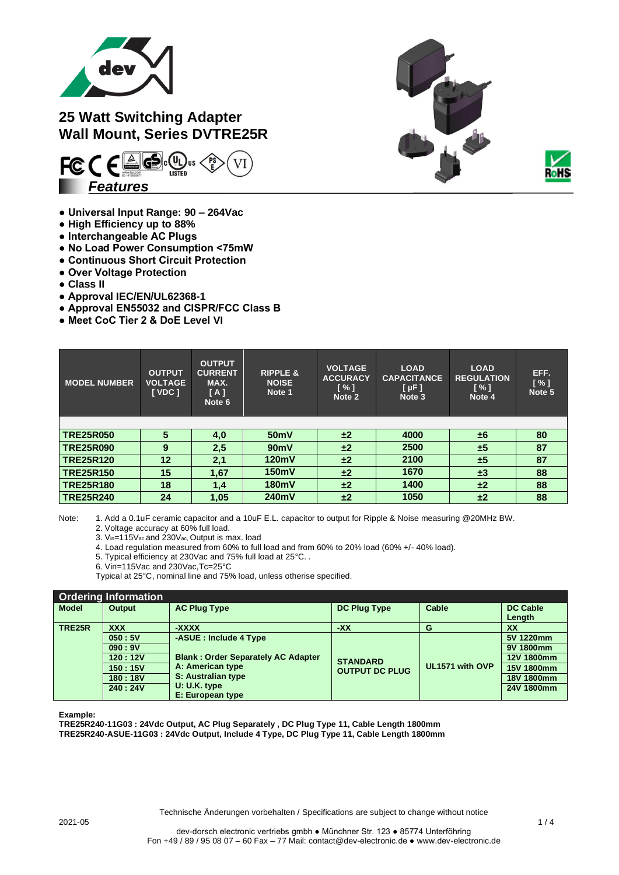

## **25 Watt Switching Adapter Wall Mount, Series DVTRE25R**



- **Universal Input Range: 90 – 264Vac**
- **High Efficiency up to 88%**
- **Interchangeable AC Plugs**
- **No Load Power Consumption <75mW**
- **Continuous Short Circuit Protection**
- **Over Voltage Protection**
- **Class II**
- **Approval IEC/EN/UL62368-1**
- **Approval EN55032 and CISPR/FCC Class B**
- **Meet CoC Tier 2 & DoE Level VI**

| <b>MODEL NUMBER</b> | <b>OUTPUT</b><br><b>VOLTAGE</b><br><b>I</b> VDC 1 | <b>OUTPUT</b><br><b>CURRENT</b><br>MAX.<br>[A]<br>Note 6 | <b>RIPPLE &amp;</b><br><b>NOISE</b><br>Note 1 | <b>VOLTAGE</b><br><b>ACCURACY</b><br>$\lceil \% \rceil$<br>Note 2 | <b>LOAD</b><br><b>CAPACITANCE</b><br>$[ \mu F ]$<br>Note 3 | <b>LOAD</b><br><b>REGULATION</b><br>$\lceil \% \rceil$<br>Note 4 | EFF.<br>[ % ]<br>Note 5 |
|---------------------|---------------------------------------------------|----------------------------------------------------------|-----------------------------------------------|-------------------------------------------------------------------|------------------------------------------------------------|------------------------------------------------------------------|-------------------------|
|                     |                                                   |                                                          |                                               |                                                                   |                                                            |                                                                  |                         |
| <b>TRE25R050</b>    | 5                                                 | 4,0                                                      | 50 <sub>m</sub> V                             | ±2                                                                | 4000                                                       | ±6                                                               | 80                      |
| <b>TRE25R090</b>    | 9                                                 | 2,5                                                      | 90mV                                          | ±2                                                                | 2500                                                       | ±5                                                               | 87                      |
| <b>TRE25R120</b>    | 12                                                | 2,1                                                      | 120mV                                         | ±2                                                                | 2100                                                       | ±5                                                               | 87                      |
| <b>TRE25R150</b>    | 15                                                | 1,67                                                     | 150mV                                         | ±2                                                                | 1670                                                       | $\pm 3$                                                          | 88                      |
| <b>TRE25R180</b>    | 18                                                | 1,4                                                      | 180mV                                         | ±2                                                                | 1400                                                       | ±2                                                               | 88                      |
| <b>TRE25R240</b>    | 24                                                | 1,05                                                     | 240mV                                         | ±2                                                                | 1050                                                       | ±2                                                               | 88                      |

Note: 1. Add a 0.1uF ceramic capacitor and a 10uF E.L. capacitor to output for Ripple & Noise measuring @20MHz BW.

- 2. Voltage accuracy at 60% full load.
- 3. Vin=115Vac and 230Vac, Output is max. load
- 4. Load regulation measured from 60% to full load and from 60% to 20% load (60% +/- 40% load).
- 5. Typical efficiency at 230Vac and 75% full load at 25°C. .
- 6. Vin=115Vac and 230Vac,Tc=25°C
- Typical at 25°C, nominal line and 75% load, unless otherise specified.

| <b>Ordering Information</b> |               |                                           |                       |                 |                 |  |  |
|-----------------------------|---------------|-------------------------------------------|-----------------------|-----------------|-----------------|--|--|
| <b>Model</b>                | <b>Output</b> | <b>AC Plug Type</b>                       | <b>DC Plug Type</b>   | Cable           | <b>DC Cable</b> |  |  |
|                             |               |                                           |                       |                 | Length          |  |  |
| <b>TRE25R</b>               | <b>XXX</b>    | -XXXX                                     | -XX                   | G               | <b>XX</b>       |  |  |
|                             | 050:5V        | -ASUE: Include 4 Type                     |                       |                 | 5V 1220mm       |  |  |
| 090:9V<br>120:12V           |               |                                           | <b>STANDARD</b>       |                 | 9V 1800mm       |  |  |
|                             |               | <b>Blank: Order Separately AC Adapter</b> |                       |                 | 12V 1800mm      |  |  |
| 150:15V                     |               | A: American type                          | <b>OUTPUT DC PLUG</b> | UL1571 with OVP | 15V 1800mm      |  |  |
| 180:18V                     |               | S: Australian type                        |                       |                 | 18V 1800mm      |  |  |
|                             | 240:24V       | $U: U.K.$ type                            |                       |                 | 24V 1800mm      |  |  |
|                             |               | E: European type                          |                       |                 |                 |  |  |

**Example:**

**TRE25R240-11G03 : 24Vdc Output, AC Plug Separately , DC Plug Type 11, Cable Length 1800mm TRE25R240-ASUE-11G03 : 24Vdc Output, Include 4 Type, DC Plug Type 11, Cable Length 1800mm**



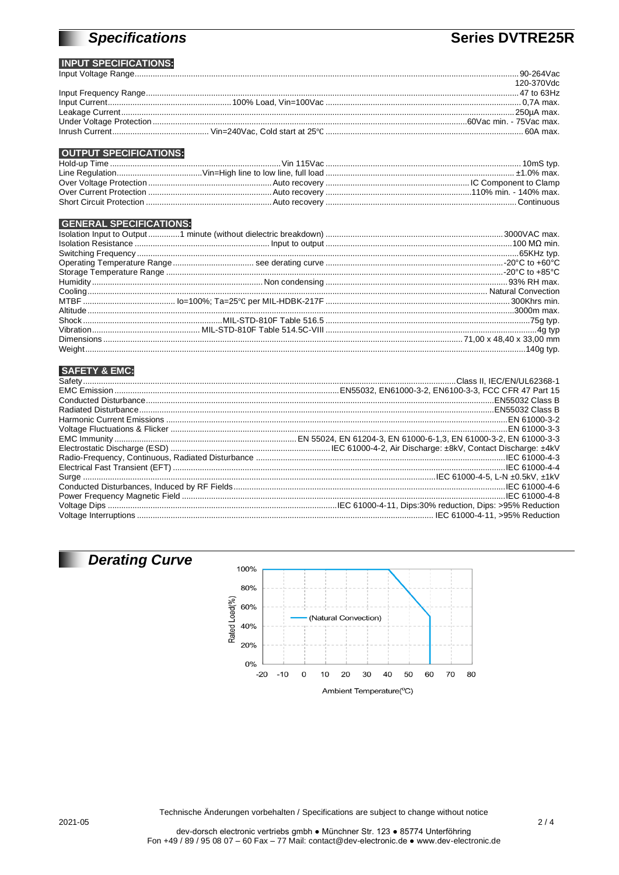# **Specifications**

## **Series DVTRE25R**

#### **INPUT SPECIFICATIONS:** Innut Voltage Range

|  | 120-370Vdc |
|--|------------|
|  |            |
|  |            |
|  |            |
|  |            |
|  |            |

### **OUTPUT SPECIFICATIONS:**

#### **GENERAL SPECIFICATIONS:**

#### **SAFETY & EMC:**



2021-05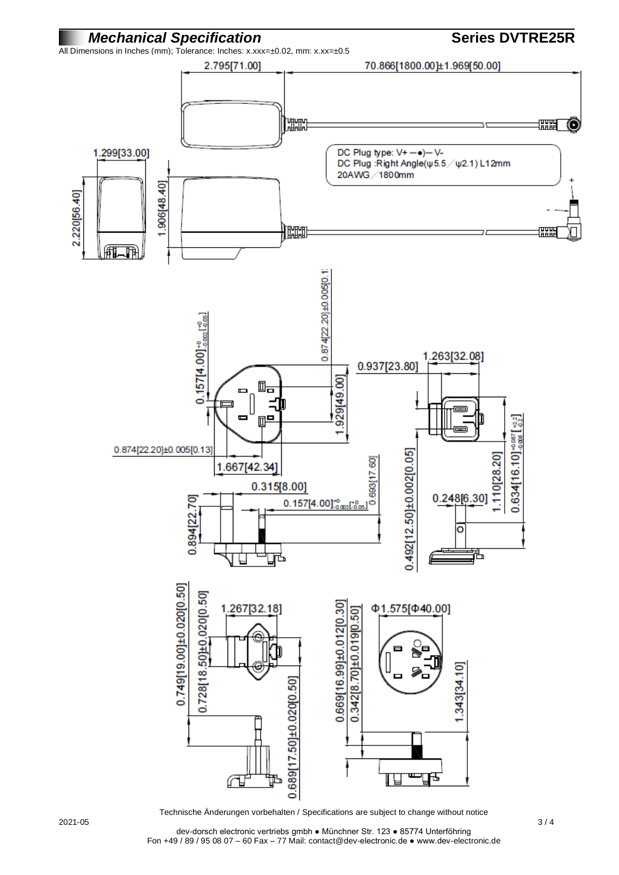

Technische Änderungen vorbehalten / Specifications are subject to change without notice

dev-dorsch electronic vertriebs gmbh ● Münchner Str. 123 ● 85774 Unterföhring Fon +49 / 89 / 95 08 07 – 60 Fax – 77 Mail: contact@dev-electronic.de ● www.dev-electronic.de